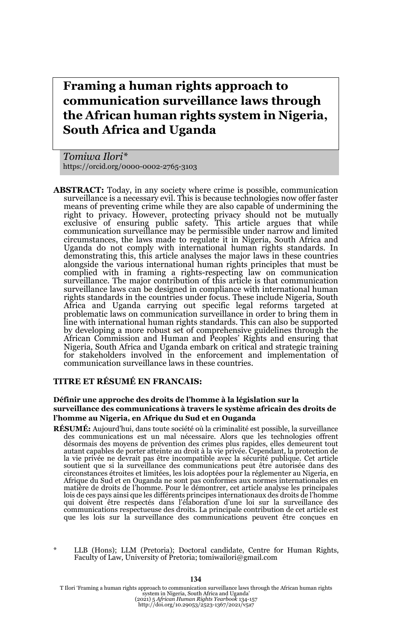# **Framing a human rights approach to communication surveillance laws through the African human rights system in Nigeria, South Africa and Uganda**

*Tomiwa Ilori\** https://orcid.org/0000-0002-2765-3103

**ABSTRACT:** Today, in any society where crime is possible, communication surveillance is a necessary evil. This is because technologies now offer faster means of preventing crime while they are also capable of undermining the right to privacy. However, protecting privacy should not be mutually exclusive of ensuring public safety. This article argues that while communication surveillance may be permissible under narrow and limited circumstances, the laws made to regulate it in Nigeria, South Africa and Uganda do not comply with international human rights standards. In demonstrating this, this article analyses the major laws in these countries alongside the various international human rights principles that must be complied with in framing a rights-respecting law on communication surveillance. The major contribution of this article is that communication surveillance laws can be designed in compliance with international human rights standards in the countries under focus. These include Nigeria, South Africa and Uganda carrying out specific legal reforms targeted at problematic laws on communication surveillance in order to bring them in line with international human rights standards. This can also be supported by developing a more robust set of comprehensive guidelines through the African Commission and Human and Peoples' Rights and ensuring that Nigeria, South Africa and Uganda embark on critical and strategic training for stakeholders involved in the enforcement and implementation of communication surveillance laws in these countries.

#### **TITRE ET RÉSUMÉ EN FRANCAIS:**

#### **Définir une approche des droits de l'homme à la législation sur la surveillance des communications à travers le système africain des droits de l'homme au Nigeria, en Afrique du Sud et en Ouganda**

- **RÉSUMÉ:** Aujourd'hui, dans toute société où la criminalité est possible, la surveillance des communications est un mal nécessaire. Alors que les technologies offrent désormais des moyens de prévention des crimes plus rapides, elles demeurent tout autant capables de porter atteinte au droit à la vie privée. Cependant, la protection de la vie privée ne devrait pas être incompatible avec la sécurité publique. Cet article soutient que si la surveillance des communications peut être autorisée dans des circonstances étroites et limitées, les lois adoptées pour la réglementer au Nigeria, en Afrique du Sud et en Ouganda ne sont pas conformes aux normes internationales en matière de droits de l'homme. Pour le démontrer, cet article analyse les principales lois de ces pays ainsi que les différents principes internationaux des droits de l'homme qui doivent être respectés dans l'élaboration d'une loi sur la surveillance des communications respectueuse des droits. La principale contribution de cet article est que les lois sur la surveillance des communications peuvent être conçues en
- LLB (Hons); LLM (Pretoria); Doctoral candidate, Centre for Human Rights, Faculty of Law, University of Pretoria; tomiwailori@gmail.com

T Ilori 'Framing a human rights approach to communication surveillance laws through the African human rights system in Nigeria, South Africa and Uganda' (2021) 5 *African Human Rights Yearbook* 134-157 http://doi.org/10.29053/2523-1367/2021/v5a7

#### **134**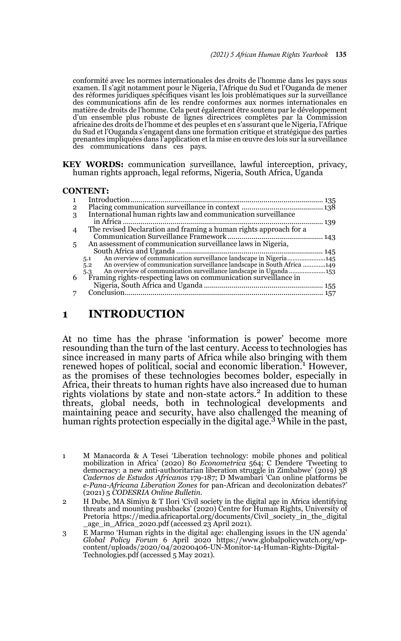conformité avec les normes internationales des droits de l'homme dans les pays sous examen. Il s'agit notamment pour le Nigeria, l'Afrique du Sud et l'Ouganda de mener des réformes juridiques spécifiques visant les lois problématiques sur la surveillance des communications afin de les rendre conformes aux normes internationales en matière de droits de l'homme. Cela peut également être soutenu par le développement d'un ensemble plus robuste de lignes directrices complètes par la Commission africaine des droits de l'homme et des peuples et en s'assurant que le Nigeria, l'Afrique du Sud et l'Ouganda s'engagent dans une formation critique et stratégique des parties prenantes impliquées dans l'application et la mise en œuvre des lois sur la surveillance des communications dans ces pays.

**KEY WORDS:** communication surveillance, lawful interception, privacy, human rights approach, legal reforms, Nigeria, South Africa, Uganda

#### **CONTENT:**

| $\overline{2}$ |                                                                                |       |
|----------------|--------------------------------------------------------------------------------|-------|
| 3              | International human rights law and communication surveillance                  |       |
|                |                                                                                | . 139 |
|                | The revised Declaration and framing a human rights approach for a              |       |
|                |                                                                                |       |
| 5              | An assessment of communication surveillance laws in Nigeria,                   |       |
|                |                                                                                |       |
|                | 5.1                                                                            |       |
|                | An overview of communication surveillance landscape in South Africa 149<br>5.2 |       |
|                | 5.3                                                                            |       |
| 6              | Framing rights-respecting laws on communication surveillance in                |       |
|                |                                                                                |       |
|                |                                                                                |       |
|                |                                                                                |       |

### **1 INTRODUCTION**

At no time has the phrase 'information is power' become more resounding than the turn of the last century. Access to technologies has since increased in many parts of Africa while also bringing with them renewed hopes of political, social and economic liberation.<sup>1</sup> However, as the promises of these technologies becomes bolder, especially in Africa, their threats to human rights have also increased due to human rights violations by state and non-state actors.<sup>2</sup> In addition to these threats, global needs, both in technological developments and maintaining peace and security, have also challenged the meaning of human rights protection especially in the digital age.<sup>3</sup> While in the past,

2 H Dube, MA Simiyu & T Ilori 'Civil society in the digital age in Africa identifying threats and mounting pushbacks' (2020) Centre for Human Rights, University of Pretoria https://media.africaportal.org/documents/Civil\_society\_in\_the\_digital  $\_\_age\_in\_A$ frica $\'_2$ 020.pdf (accessed 23 April 2021).

3 E Marmo 'Human rights in the digital age: challenging issues in the UN agenda' *Global Policy Forum 6 April 2020 https://www.globalpolicywatch.org/wp-content/uploads/2020/04/20200406-UN-Monitor-14-Human-Rights-Digital-*Technologies.pdf (accessed 5 May 2021).

<sup>1</sup> M Manacorda & A Tesei 'Liberation technology: mobile phones and political mobilization in Africa' (2020) 80 *Econometrica* 564; C Dendere 'Tweeting to democracy: a new anti-authoritarian liberation struggle in Zimbabwe' (2019) 38 *Cadernos de Estudos Africanos* 179-187; D Mwambari 'Can online platforms be *e-Pana-Africana Liberation Zones* for pan-African and decolonization debates?' (2021) 5 *CODESRIA Online Bulletin*.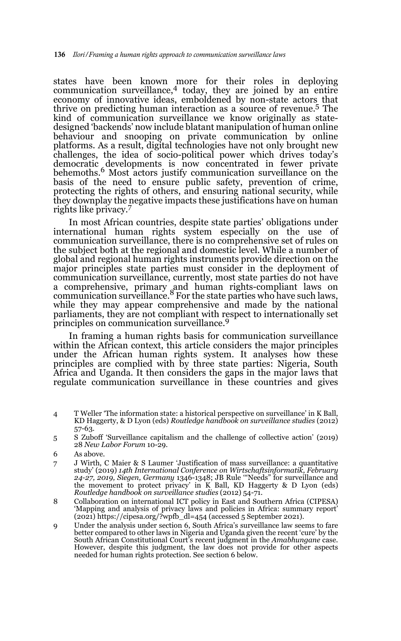states have been known more for their roles in deploying communication surveillance,4 today, they are joined by an entire economy of innovative ideas, emboldened by non-state actors that thrive on predicting human interaction as a source of revenue.5 The kind of communication surveillance we know originally as statedesigned 'backends' now include blatant manipulation of human online behaviour and snooping on private communication by online platforms. As a result, digital technologies have not only brought new challenges, the idea of socio-political power which drives today's democratic developments is now concentrated in fewer private behemoths.<sup>6</sup> Most actors justify communication surveillance on the basis of the need to ensure public safety, prevention of crime, protecting the rights of others, and ensuring national security, while they downplay the negative impacts these justifications have on human rights like privacy.7

In most African countries, despite state parties' obligations under international human rights system especially on the use of communication surveillance, there is no comprehensive set of rules on the subject both at the regional and domestic level. While a number of global and regional human rights instruments provide direction on the major principles state parties must consider in the deployment of communication surveillance, currently, most state parties do not have a comprehensive, primary and human rights-compliant laws on<br>communication surveillance.<sup>8</sup> For the state parties who have such laws, while they may appear comprehensive and made by the national parliaments, they are not compliant with respect to internationally set principles on communication surveillance.<sup>9</sup>

In framing a human rights basis for communication surveillance within the African context, this article considers the major principles under the African human rights system. It analyses how these principles are complied with by three state parties: Nigeria, South Africa and Uganda. It then considers the gaps in the major laws that regulate communication surveillance in these countries and gives

- 4 T Weller 'The information state: a historical perspective on surveillance' in K Ball, KD Haggerty, & D Lyon (eds) *Routledge handbook on surveillance studies* (2012) 57-63.
- 5 S Zuboff 'Surveillance capitalism and the challenge of collective action' (2019) 28 *New Labor Forum* 10-29.
- 6 As above.
- 7 J Wirth, C Maier & S Laumer 'Justification of mass surveillance: a quantitative study' (2019) *14th International Conference on Wirtschaftsinformatik, February 24-27, 2019, Siegen, Germany* 1346-1348; JB Rule '"Needs" for surveillance and the movement to protect privacy' in K Ball, KD Haggerty & D Lyon (eds) *Routledge handbook on surveillance studies* (2012) 54-71.
- 8 Collaboration on international ICT policy in East and Southern Africa (CIPESA) 'Mapping and analysis of privacy laws and policies in Africa: summary report' (2021) https://cipesa.org/?wpfb\_dl=454 (accessed 5 September 2021).
- 9 Under the analysis under section 6, South Africa's surveillance law seems to fare better compared to other laws in Nigeria and Uganda given the recent 'cure' by the South African Constitutional Court's recent judgment in the *Amabhungane* case. However, despite this judgment, the law does not provide for other aspects needed for human rights protection. See section 6 below.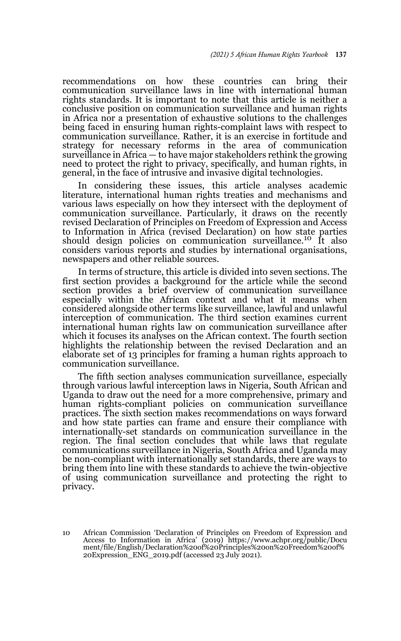recommendations on how these countries can bring their communication surveillance laws in line with international human rights standards. It is important to note that this article is neither a conclusive position on communication surveillance and human rights in Africa nor a presentation of exhaustive solutions to the challenges being faced in ensuring human rights-complaint laws with respect to communication surveillance. Rather, it is an exercise in fortitude and strategy for necessary reforms in the area of communication surveillance in Africa — to have major stakeholders rethink the growing need to protect the right to privacy, specifically, and human rights, in general, in the face of intrusive and invasive digital technologies.

In considering these issues, this article analyses academic literature, international human rights treaties and mechanisms and various laws especially on how they intersect with the deployment of communication surveillance. Particularly, it draws on the recently revised Declaration of Principles on Freedom of Expression and Access to Information in Africa (revised Declaration) on how state parties should design policies on communication surveillance.<sup>10</sup> It also considers various reports and studies by international organisations, newspapers and other reliable sources.

In terms of structure, this article is divided into seven sections. The first section provides a background for the article while the second section provides a brief overview of communication surveillance especially within the African context and what it means when considered alongside other terms like surveillance, lawful and unlawful interception of communication. The third section examines current international human rights law on communication surveillance after which it focuses its analyses on the African context. The fourth section highlights the relationship between the revised Declaration and an elaborate set of 13 principles for framing a human rights approach to communication surveillance.

The fifth section analyses communication surveillance, especially through various lawful interception laws in Nigeria, South African and Uganda to draw out the need for a more comprehensive, primary and human rights-compliant policies on communication surveillance practices. The sixth section makes recommendations on ways forward and how state parties can frame and ensure their compliance with internationally-set standards on communication surveillance in the region. The final section concludes that while laws that regulate communications surveillance in Nigeria, South Africa and Uganda may be non-compliant with internationally set standards, there are ways to bring them into line with these standards to achieve the twin-objective of using communication surveillance and protecting the right to privacy.

10 African Commission 'Declaration of Principles on Freedom of Expression and Access to Information in Africa' (2019) https://www.achpr.org/public/Docu ment/file/English/Declaration%20of%20Principles%20on%20Freedom%20of% 20Expression\_ENG\_2019.pdf (accessed 23 July 2021).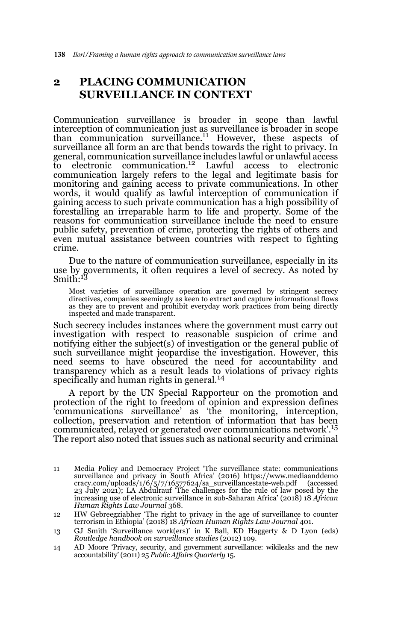### **2 PLACING COMMUNICATION SURVEILLANCE IN CONTEXT**

Communication surveillance is broader in scope than lawful interception of communication just as surveillance is broader in scope than communication surveillance.<sup>11</sup> However, these aspects of surveillance all form an arc that bends towards the right to privacy. In general, communication surveillance includes lawful or unlawful access to electronic communication.12 Lawful access to electronic communication largely refers to the legal and legitimate basis for monitoring and gaining access to private communications. In other words, it would qualify as lawful interception of communication if gaining access to such private communication has a high possibility of forestalling an irreparable harm to life and property. Some of the reasons for communication surveillance include the need to ensure public safety, prevention of crime, protecting the rights of others and even mutual assistance between countries with respect to fighting crime.

Due to the nature of communication surveillance, especially in its use by governments, it often requires a level of secrecy. As noted by<br>Smith:<sup>13</sup>

Most varieties of surveillance operation are governed by stringent secrecy directives, companies seemingly as keen to extract and capture informational flows as they are to prevent and prohibit everyday work practices from being directly inspected and made transparent.

Such secrecy includes instances where the government must carry out investigation with respect to reasonable suspicion of crime and notifying either the subject(s) of investigation or the general public of such surveillance might jeopardise the investigation. However, this need seems to have obscured the need for accountability and transparency which as a result leads to violations of privacy rights<br>specifically and human rights in general.<sup>14</sup>

A report by the UN Special Rapporteur on the promotion and protection of the right to freedom of opinion and expression defines 'communications surveillance' as 'the monitoring, interception, collection, preservation and retention of information that has been communicated, relayed or generated over communications network'.15 The report also noted that issues such as national security and criminal

14 AD Moore 'Privacy, security, and government surveillance: wikileaks and the new accountability' (2011) 25 *Public Affairs Quarterly* 15.

<sup>11</sup> Media Policy and Democracy Project 'The surveillance state: communications surveillance and privacy in South Africa' (2016) https://www.mediaanddemo cracy.com/uploads/1/6/5/7/16577624/sa\_surveillancestate-web.pdf (accessed 23 July 2021); LA Abdulrauf 'The challenges for the rule of law posed by the increasing use of electronic surveillance in sub-Saharan Africa' (2018) 18 *African Human Rights Law Journal* 368.

<sup>12</sup> HW Gebreegziabher 'The right to privacy in the age of surveillance to counter terrorism in Ethiopia' (2018) 18 *African Human Rights Law Journal* 401.

<sup>13</sup> GJ Smith 'Surveillance work(ers)' in K Ball, KD Haggerty & D Lyon (eds) *Routledge handbook on surveillance studies* (2012) 109.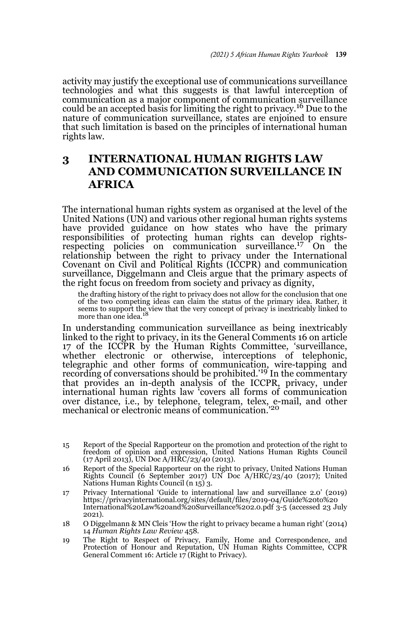activity may justify the exceptional use of communications surveillance technologies and what this suggests is that lawful interception of communication as a major component of communication surveillance could be an accepted basis for limiting the right to privacy.<sup>16</sup> Due to the nature of communication surveillance, states are enjoined to ensure that such limitation is based on the principles of international human rights law.

## **3 INTERNATIONAL HUMAN RIGHTS LAW AND COMMUNICATION SURVEILLANCE IN AFRICA**

The international human rights system as organised at the level of the United Nations (UN) and various other regional human rights systems have provided guidance on how states who have the primary responsibilities of protecting human rights can develop rightsrespecting policies on communication surveillance.<sup>17</sup> On the relationship between the right to privacy under the International Covenant on Civil and Political Rights (ICCPR) and communication surveillance, Diggelmann and Cleis argue that the primary aspects of the right focus on freedom from society and privacy as dignity,

the drafting history of the right to privacy does not allow for the conclusion that one of the two competing ideas can claim the status of the primary idea. Rather, it seems to support the view that the very concept of privacy is inextricably linked to more than one idea.

In understanding communication surveillance as being inextricably linked to the right to privacy, in its the General Comments 16 on article 17 of the ICCPR by the Human Rights Committee, 'surveillance, whether electronic or otherwise, interceptions of telephonic, telegraphic and other forms of communication, wire-tapping and<br>recording of conversations should be prohibited.'<sup>19</sup> In the commentary that provides an in-depth analysis of the ICCPR, privacy, under international human rights law 'covers all forms of communication over distance, i.e., by telephone, telegram, telex, e-mail, and other mechanical or electronic means of communication.'<sup>20</sup>

<sup>15</sup> Report of the Special Rapporteur on the promotion and protection of the right to freedom of opinion and expression, United Nations Human Rights Council (17 April 2013), UN Doc A/HRC/23/40 (2013).

<sup>16</sup> Report of the Special Rapporteur on the right to privacy, United Nations Human Rights Council (6 September 2017) UN Doc A/HRC/23/40 (2017); United Nations Human Rights Council (n 15) 3.

<sup>17</sup> Privacy International 'Guide to international law and surveillance 2.0' (2019) https://privacyinternational.org/sites/default/files/2019-04/Guide%20to%20 International%20Law%20and%20Surveillance%202.0.pdf 3-5 (accessed 23 July 2021).

<sup>18</sup> O Diggelmann & MN Cleis 'How the right to privacy became a human right' (2014) 14 *Human Rights Law Review* 458.

<sup>19</sup> The Right to Respect of Privacy, Family, Home and Correspondence, and Protection of Honour and Reputation, UN Human Rights Committee, CCPR General Comment 16: Article 17 (Right to Privacy).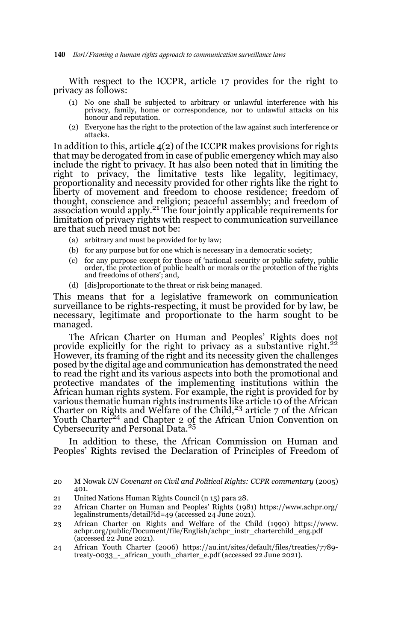With respect to the ICCPR, article 17 provides for the right to privacy as follows:

- (1) No one shall be subjected to arbitrary or unlawful interference with his privacy, family, home or correspondence, nor to unlawful attacks on his honour and reputation.
- (2) Everyone has the right to the protection of the law against such interference or attacks.

In addition to this, article 4(2) of the ICCPR makes provisions for rights that may be derogated from in case of public emergency which may also include the right to privacy. It has also been noted that in limiting the right to privacy, the limitative tests like legality, legitimacy, proportionality and necessity provided for other rights like the right to liberty of movement and freedom to choose residence; freedom of thought, conscience and religion; peaceful assembly; and freedom of<br>association would apply.<sup>21</sup> The four jointly applicable requirements for limitation of privacy rights with respect to communication surveillance are that such need must not be:

- (a) arbitrary and must be provided for by law;
- (b) for any purpose but for one which is necessary in a democratic society;
- (c) for any purpose except for those of 'national security or public safety, public order, the protection of public health or morals or the protection of the rights and freedoms of others'; and,
- (d) [dis]proportionate to the threat or risk being managed.

This means that for a legislative framework on communication surveillance to be rights-respecting, it must be provided for by law, be necessary, legitimate and proportionate to the harm sought to be managed.

The African Charter on Human and Peoples' Rights does not provide explicitly for the right to privacy as a substantive right.<sup>22</sup> However, its framing of the right and its necessity given the challenges posed by the digital age and communication has demonstrated the need to read the right and its various aspects into both the promotional and protective mandates of the implementing institutions within the African human rights system. For example, the right is provided for by various thematic human rights instruments like article 10 of the African<br>Charter on Rights and Welfare of the Child,<sup>23</sup> article 7 of the African Youth Charter<sup>24</sup> and Chapter 2 of the African Union Convention on Cybersecurity and Personal Data.<sup>25</sup>

In addition to these, the African Commission on Human and Peoples' Rights revised the Declaration of Principles of Freedom of

- 21 United Nations Human Rights Council (n 15) para 28.
- 22 African Charter on Human and Peoples' Rights (1981) https://www.achpr.org/ legalinstruments/detail?id=49 (accessed 24 June 2021).
- 23 African Charter on Rights and Welfare of the Child (1990) https://www. achpr.org/public/Document/file/English/achpr\_instr\_charterchild\_eng.pdf (accessed 22 June 2021).
- 24 African Youth Charter (2006) https://au.int/sites/default/files/treaties/7789 treaty-0033\_-\_african\_youth\_charter\_e.pdf (accessed 22 June 2021).

<sup>20</sup> M Nowak *UN Covenant on Civil and Political Rights: CCPR commentary* (2005) 401.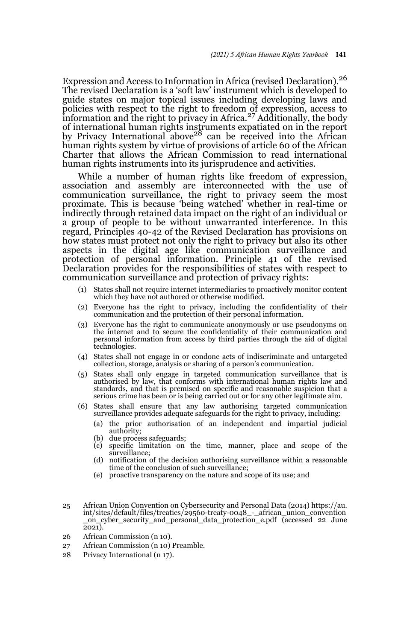Expression and Access to Information in Africa (revised Declaration).<sup>26</sup> The revised Declaration is a 'soft law' instrument which is developed to guide states on major topical issues including developing laws and policies with respect to the right to freedom of expression, access to information and the right to privacy in Africa.<sup>27</sup> Additionally, the body of international human rights instruments expatiated on in the report<br>by Privacy International above<sup>28</sup> can be received into the African human rights system by virtue of provisions of article 60 of the African Charter that allows the African Commission to read international human rights instruments into its jurisprudence and activities.

While a number of human rights like freedom of expression, association and assembly are interconnected with the use of communication surveillance, the right to privacy seem the most proximate. This is because 'being watched' whether in real-time or indirectly through retained data impact on the right of an individual or a group of people to be without unwarranted interference. In this regard, Principles 40-42 of the Revised Declaration has provisions on how states must protect not only the right to privacy but also its other aspects in the digital age like communication surveillance and protection of personal information. Principle 41 of the revised Declaration provides for the responsibilities of states with respect to communication surveillance and protection of privacy rights:

- (1) States shall not require internet intermediaries to proactively monitor content which they have not authored or otherwise modified.
- (2) Everyone has the right to privacy, including the confidentiality of their communication and the protection of their personal information.
- (3) Everyone has the right to communicate anonymously or use pseudonyms on the internet and to secure the confidentiality of their communication and personal information from access by third parties through the aid of digital technologies.
- (4) States shall not engage in or condone acts of indiscriminate and untargeted collection, storage, analysis or sharing of a person's communication.
- (5) States shall only engage in targeted communication surveillance that is authorised by law, that conforms with international human rights law and standards, and that is premised on specific and reasonable suspicion that a serious crime has been or is being carried out or for any other legitimate aim.
- (6) States shall ensure that any law authorising targeted communication surveillance provides adequate safeguards for the right to privacy, including:
	- (a) the prior authorisation of an independent and impartial judicial authority;
	- (b) due process safeguards;
	- (c) specific limitation on the time, manner, place and scope of the surveillance;
	- (d) notification of the decision authorising surveillance within a reasonable time of the conclusion of such surveillance;
	- (e) proactive transparency on the nature and scope of its use; and
- 25 African Union Convention on Cybersecurity and Personal Data (2014) https://au. int/sites/default/files/treaties/29560-treaty-0048\_-\_african\_union\_convention \_on\_cyber\_security\_and\_personal\_data\_protection\_e.pdf (accessed 22 June 2021).
- 26 African Commission (n 10).
- 27 African Commission (n 10) Preamble.
- 28 Privacy International (n 17).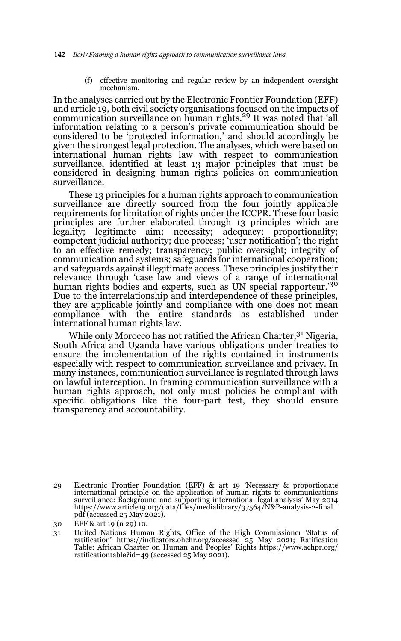(f) effective monitoring and regular review by an independent oversight mechanism.

In the analyses carried out by the Electronic Frontier Foundation (EFF) and article 19, both civil society organisations focused on the impacts of communication surveillance on human rights.<sup>29</sup> It was noted that 'all information relating to a person's private communication should be considered to be 'protected information,' and should accordingly be given the strongest legal protection. The analyses, which were based on international human rights law with respect to communication surveillance, identified at least 13 major principles that must be considered in designing human rights policies on communication surveillance.

These 13 principles for a human rights approach to communication surveillance are directly sourced from the four jointly applicable requirements for limitation of rights under the ICCPR. These four basic principles are further elaborated through 13 principles which are legality; legitimate aim; necessity; adequacy; proportionality; competent judicial authority; due process; 'user notification'; the right to an effective remedy; transparency; public oversight; integrity of communication and systems; safeguards for international cooperation; and safeguards against illegitimate access. These principles justify their relevance through 'case law and views of a range of international human rights bodies and experts, such as UN special rapporteur.'30 Due to the interrelationship and interdependence of these principles, they are applicable jointly and compliance with one does not mean compliance with the entire standards as established under international human rights law.

While only Morocco has not ratified the African Charter,  $31$  Nigeria, South Africa and Uganda have various obligations under treaties to ensure the implementation of the rights contained in instruments especially with respect to communication surveillance and privacy. In many instances, communication surveillance is regulated through laws on lawful interception. In framing communication surveillance with a human rights approach, not only must policies be compliant with specific obligations like the four-part test, they should ensure transparency and accountability.

<sup>29</sup> Electronic Frontier Foundation (EFF) & art 19 'Necessary & proportionate international principle on the application of human rights to communications surveillance: Background and supporting international legal analysis' May 2014 https://www.article19.org/data/files/medialibrary/37564/N&P-analysis-2-final. pdf (accessed 25 May 2021).

<sup>30</sup> EFF & art 19 (n 29) 10.

<sup>31</sup> United Nations Human Rights, Office of the High Commissioner 'Status of ratification' https://indicators.ohchr.org/accessed 25 May 2021; Ratification Table: African Charter on Human and Peoples' Rights https://www.achpr.org/ ratificationtable?id=49 (accessed  $25$  May  $2021$ ).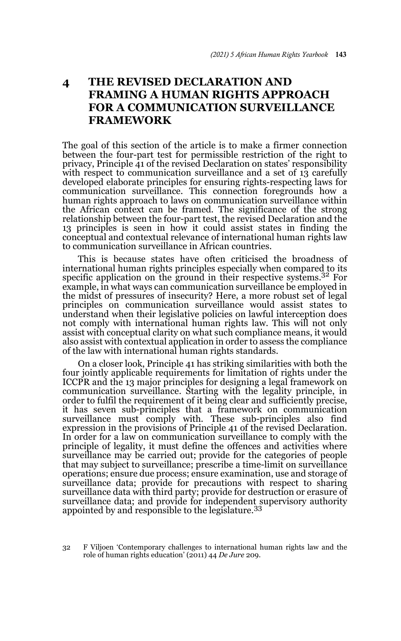## **4 THE REVISED DECLARATION AND FRAMING A HUMAN RIGHTS APPROACH FOR A COMMUNICATION SURVEILLANCE FRAMEWORK**

The goal of this section of the article is to make a firmer connection between the four-part test for permissible restriction of the right to privacy, Principle 41 of the revised Declaration on states' responsibility with respect to communication surveillance and a set of 13 carefully developed elaborate principles for ensuring rights-respecting laws for communication surveillance. This connection foregrounds how a human rights approach to laws on communication surveillance within the African context can be framed. The significance of the strong relationship between the four-part test, the revised Declaration and the 13 principles is seen in how it could assist states in finding the conceptual and contextual relevance of international human rights law to communication surveillance in African countries.

This is because states have often criticised the broadness of international human rights principles especially when compared to its specific application on the ground in their respective systems.<sup>32</sup> For example, in what ways can communication surveillance be employed in the midst of pressures of insecurity? Here, a more robust set of legal principles on communication surveillance would assist states to understand when their legislative policies on lawful interception does not comply with international human rights law. This will not only assist with conceptual clarity on what such compliance means, it would also assist with contextual application in order to assess the compliance of the law with international human rights standards.

On a closer look, Principle 41 has striking similarities with both the four jointly applicable requirements for limitation of rights under the ICCPR and the 13 major principles for designing a legal framework on communication surveillance. Starting with the legality principle, in order to fulfil the requirement of it being clear and sufficiently precise, it has seven sub-principles that a framework on communication surveillance must comply with. These sub-principles also find expression in the provisions of Principle 41 of the revised Declaration. In order for a law on communication surveillance to comply with the principle of legality, it must define the offences and activities where surveillance may be carried out; provide for the categories of people that may subject to surveillance; prescribe a time-limit on surveillance operations; ensure due process; ensure examination, use and storage of surveillance data; provide for precautions with respect to sharing surveillance data with third party; provide for destruction or erasure of surveillance data; and provide for independent supervisory authority appointed by and responsible to the legislature.<sup>33</sup>

32 F Viljoen 'Contemporary challenges to international human rights law and the role of human rights education' (2011) 44 *De Jure* 209.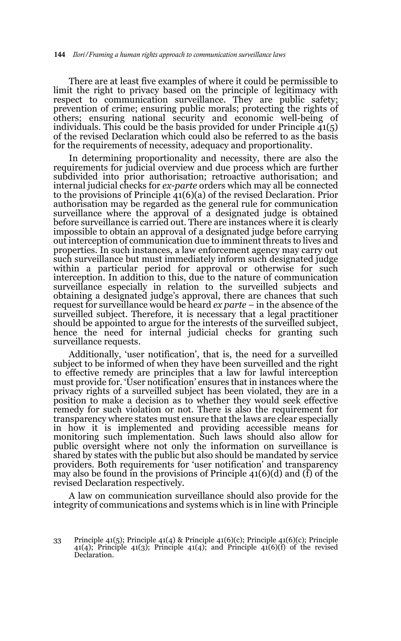There are at least five examples of where it could be permissible to limit the right to privacy based on the principle of legitimacy with respect to communication surveillance. They are public safety; prevention of crime; ensuring public morals; protecting the rights of others; ensuring national security and economic well-being of individuals. This could be the basis provided for under Principle  $\tilde{41}(5)$ of the revised Declaration which could also be referred to as the basis for the requirements of necessity, adequacy and proportionality.

In determining proportionality and necessity, there are also the requirements for judicial overview and due process which are further subdivided into prior authorisation; retroactive authorisation; and internal judicial checks for *ex-parte* orders which may all be connected to the provisions of Principle 41(6)(a) of the revised Declaration. Prior authorisation may be regarded as the general rule for communication surveillance where the approval of a designated judge is obtained before surveillance is carried out. There are instances where it is clearly impossible to obtain an approval of a designated judge before carrying out interception of communication due to imminent threats to lives and properties. In such instances, a law enforcement agency may carry out such surveillance but must immediately inform such designated judge within a particular period for approval or otherwise for such interception. In addition to this, due to the nature of communication surveillance especially in relation to the surveilled subjects and obtaining a designated judge's approval, there are chances that such request for surveillance would be heard *ex parte* – in the absence of the surveilled subject. Therefore, it is necessary that a legal practitioner should be appointed to argue for the interests of the surveilled subject, hence the need for internal judicial checks for granting such surveillance requests.

Additionally, 'user notification', that is, the need for a surveilled subject to be informed of when they have been surveilled and the right to effective remedy are principles that a law for lawful interception must provide for. 'User notification' ensures that in instances where the privacy rights of a surveilled subject has been violated, they are in a position to make a decision as to whether they would seek effective remedy for such violation or not. There is also the requirement for transparency where states must ensure that the laws are clear especially in how it is implemented and providing accessible means for monitoring such implementation. Such laws should also allow for public oversight where not only the information on surveillance is shared by states with the public but also should be mandated by service providers. Both requirements for 'user notification' and transparency may also be found in the provisions of Principle  $41(6)(d)$  and  $(\hat{f})$  of the revised Declaration respectively.

A law on communication surveillance should also provide for the integrity of communications and systems which is in line with Principle

<sup>33</sup> Principle  $41(5)$ ; Principle  $41(4)$  & Principle  $41(6)(c)$ ; Principle  $41(6)(c)$ ; Principle 41(4); Principle 41(3); Principle 41(4); and Principle 41(6)(f) of the revised Declaration.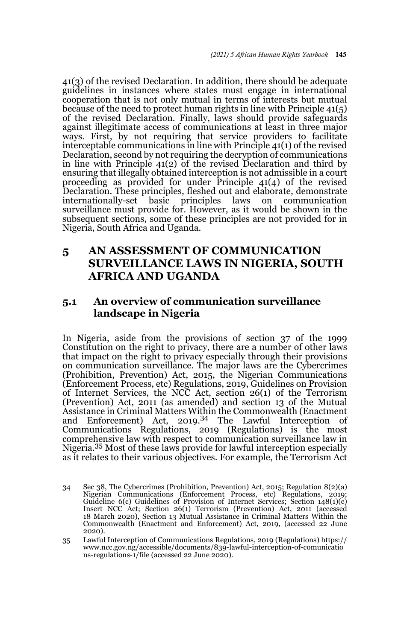41(3) of the revised Declaration. In addition, there should be adequate guidelines in instances where states must engage in international cooperation that is not only mutual in terms of interests but mutual because of the need to protect human rights in line with Principle 41(5) of the revised Declaration. Finally, laws should provide safeguards against illegitimate access of communications at least in three major ways. First, by not requiring that service providers to facilitate interceptable communications in line with Principle 41(1) of the revised Declaration, second by not requiring the decryption of communications in line with Principle 41(2) of the revised Declaration and third by ensuring that illegally obtained interception is not admissible in a court proceeding as provided for under Principle 41(4) of the revised Declaration. These principles, fleshed out and elaborate, demonstrate internationally-set basic principles laws on communication surveillance must provide for. However, as it would be shown in the subsequent sections, some of these principles are not provided for in Nigeria, South Africa and Uganda.

### **5 AN ASSESSMENT OF COMMUNICATION SURVEILLANCE LAWS IN NIGERIA, SOUTH AFRICA AND UGANDA**

### **5.1 An overview of communication surveillance landscape in Nigeria**

In Nigeria, aside from the provisions of section 37 of the 1999 Constitution on the right to privacy, there are a number of other laws that impact on the right to privacy especially through their provisions on communication surveillance. The major laws are the Cybercrimes (Prohibition, Prevention) Act, 2015, the Nigerian Communications (Enforcement Process, etc) Regulations, 2019, Guidelines on Provision of Internet Services, the NCC Act, section 26(1) of the Terrorism (Prevention) Act, 2011 (as amended) and section 13 of the Mutual Assistance in Criminal Matters Within the Commonwealth (Enactment and Enforcement) Act, 2019.34 The Lawful Interception of Communications Regulations, 2019 (Regulations) is the most comprehensive law with respect to communication surveillance law in Nigeria.35 Most of these laws provide for lawful interception especially as it relates to their various objectives. For example, the Terrorism Act

<sup>34</sup> Sec 38, The Cybercrimes (Prohibition, Prevention) Act, 2015; Regulation 8(2)(a) Nigerian Communications (Enforcement Process, etc) Regulations, 2019; Guideline 6(c) Guidelines of Provision of Internet Services; Section 148(1)(c) Insert NCC Act; Section 26(1) Terrorism (Prevention) Act, 2011 (accessed 18 March 2020), Section 13 Mutual Assistance in Criminal Matters Within the Commonwealth (Enactment and Enforcement) Act, 2019, (accessed 22 June 2020).

<sup>35</sup> Lawful Interception of Communications Regulations, 2019 (Regulations) https:// www.ncc.gov.ng/accessible/documents/839-lawful-interception-of-comunicatio ns-regulations-1/file (accessed 22 June 2020).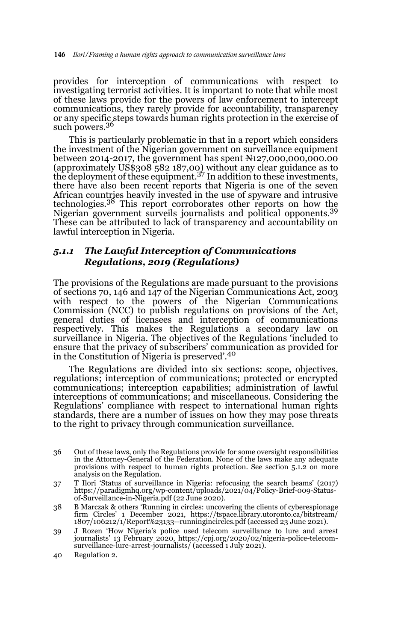provides for interception of communications with respect to investigating terrorist activities. It is important to note that while most of these laws provide for the powers of law enforcement to intercept communications, they rarely provide for accountability, transparency or any specific steps towards human rights protection in the exercise of such powers.<sup>36</sup>

This is particularly problematic in that in a report which considers the investment of the Nigerian government on surveillance equipment between 2014-2017, the government has spent N127,000,000,000.00 (approximately US\$308 582 187,00) without any clear guidance as to the deployment of these equipment.37 In addition to these investments, there have also been recent reports that Nigeria is one of the seven African countries heavily invested in the use of spyware and intrusive technologies.38 This report corroborates other reports on how the Nigerian government surveils journalists and political opponents.<sup>39</sup> These can be attributed to lack of transparency and accountability on lawful interception in Nigeria.

#### *5.1.1 The Lawful Interception of Communications Regulations, 2019 (Regulations)*

The provisions of the Regulations are made pursuant to the provisions of sections 70, 146 and  $147$  of the Nigerian Communications Act, 2003 with respect to the powers of the Nigerian Communications Commission (NCC) to publish regulations on provisions of the Act, general duties of licensees and interception of communications respectively. This makes the Regulations a secondary law on surveillance in Nigeria. The objectives of the Regulations 'included to ensure that the privacy of subscribers' communication as provided for in the Constitution of Nigeria is preserved'.<sup>40</sup>

The Regulations are divided into six sections: scope, objectives, regulations; interception of communications; protected or encrypted communications; interception capabilities; administration of lawful interceptions of communications; and miscellaneous. Considering the Regulations' compliance with respect to international human rights standards, there are a number of issues on how they may pose threats to the right to privacy through communication surveillance.

- 36 Out of these laws, only the Regulations provide for some oversight responsibilities in the Attorney-General of the Federation. None of the laws make any adequate provisions with respect to human rights protection. See section 5.1.2 on more analysis on the Regulation.
- 37 T Ilori 'Status of surveillance in Nigeria: refocusing the search beams' (2017) https://paradigmhq.org/wp-content/uploads/2021/04/Policy-Brief-009-Statusof-Surveillance-in-Nigeria.pdf (22 June 2020).
- 38 B Marczak & others 'Running in circles: uncovering the clients of cyberespionage firm Circles' 1 December 2021, https://tspace.library.utoronto.ca/bitstream/ 1807/106212/1/Report%23133--runningincircles.pdf (accessed 23 June 2021).
- 39 J Rozen 'How Nigeria's police used telecom surveillance to lure and arrest journalists' 13 February 2020, https://cpj.org/2020/02/nigeria-police-telecom-surveillance-lure-arrest-journalists/ (accessed 1 July 2021).
- 40 Regulation 2.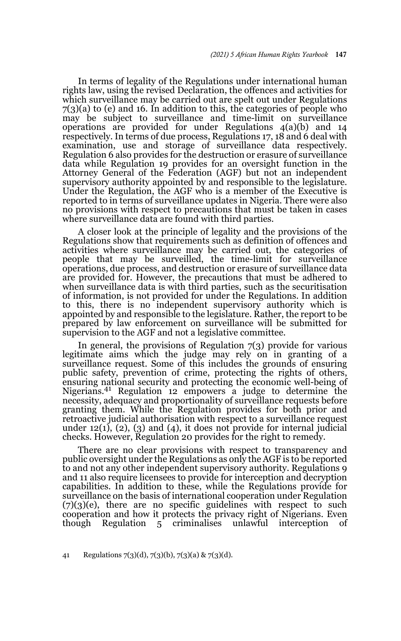In terms of legality of the Regulations under international human rights law, using the revised Declaration, the offences and activities for which surveillance may be carried out are spelt out under Regulations 7(3)(a) to (e) and 16. In addition to this, the categories of people who may be subject to surveillance and time-limit on surveillance operations are provided for under Regulations 4(a)(b) and 14 respectively. In terms of due process, Regulations 17, 18 and 6 deal with examination, use and storage of surveillance data respectively. Regulation 6 also provides for the destruction or erasure of surveillance data while Regulation 19 provides for an oversight function in the Attorney General of the Federation (AGF) but not an independent supervisory authority appointed by and responsible to the legislature. Under the Regulation, the AGF who is a member of the Executive is reported to in terms of surveillance updates in Nigeria. There were also no provisions with respect to precautions that must be taken in cases where surveillance data are found with third parties.

A closer look at the principle of legality and the provisions of the Regulations show that requirements such as definition of offences and activities where surveillance may be carried out, the categories of people that may be surveilled, the time-limit for surveillance operations, due process, and destruction or erasure of surveillance data are provided for. However, the precautions that must be adhered to when surveillance data is with third parties, such as the securitisation of information, is not provided for under the Regulations. In addition to this, there is no independent supervisory authority which is appointed by and responsible to the legislature. Rather, the report to be prepared by law enforcement on surveillance will be submitted for supervision to the AGF and not a legislative committee.

In general, the provisions of Regulation 7(3) provide for various legitimate aims which the judge may rely on in granting of a surveillance request. Some of this includes the grounds of ensuring public safety, prevention of crime, protecting the rights of others, ensuring national security and protecting the economic well-being of Nigerians.41 Regulation 12 empowers a judge to determine the necessity, adequacy and proportionality of surveillance requests before granting them. While the Regulation provides for both prior and retroactive judicial authorisation with respect to a surveillance request under  $12(1)$ ,  $(2)$ ,  $(3)$  and  $(4)$ , it does not provide for internal judicial checks. However, Regulation 20 provides for the right to remedy.

There are no clear provisions with respect to transparency and public oversight under the Regulations as only the AGF is to be reported to and not any other independent supervisory authority. Regulations 9 and 11 also require licensees to provide for interception and decryption capabilities. In addition to these, while the Regulations provide for surveillance on the basis of international cooperation under Regulation  $(7)(3)(e)$ , there are no specific guidelines with respect to such cooperation and how it protects the privacy right of Nigerians. Even though Regulation 5 criminalises unlawful interception of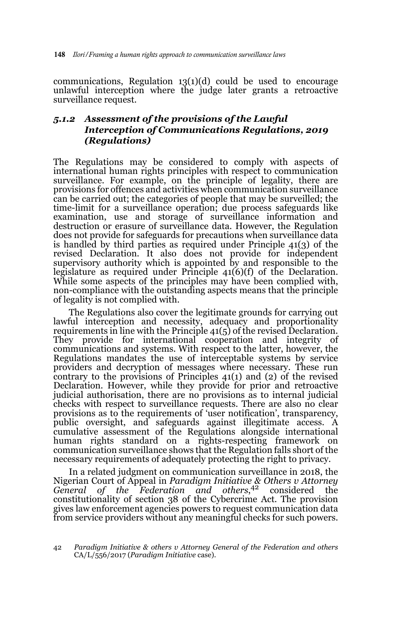communications, Regulation  $13(1)(d)$  could be used to encourage unlawful interception where the judge later grants a retroactive surveillance request.

#### *5.1.2 Assessment of the provisions of the Lawful Interception of Communications Regulations, 2019 (Regulations)*

The Regulations may be considered to comply with aspects of international human rights principles with respect to communication surveillance. For example, on the principle of legality, there are provisions for offences and activities when communication surveillance can be carried out; the categories of people that may be surveilled; the time-limit for a surveillance operation; due process safeguards like examination, use and storage of surveillance information and destruction or erasure of surveillance data. However, the Regulation does not provide for safeguards for precautions when surveillance data is handled by third parties as required under Principle 41(3) of the revised Declaration. It also does not provide for independent supervisory authority which is appointed by and responsible to the legislature as required under Principle  $41(6)(f)$  of the Declaration. While some aspects of the principles may have been complied with, non-compliance with the outstanding aspects means that the principle of legality is not complied with.

The Regulations also cover the legitimate grounds for carrying out lawful interception and necessity, adequacy and proportionality requirements in line with the Principle 41(5) of the revised Declaration. They provide for international cooperation and integrity of communications and systems. With respect to the latter, however, the Regulations mandates the use of interceptable systems by service providers and decryption of messages where necessary. These run contrary to the provisions of Principles 41(1) and (2) of the revised Declaration. However, while they provide for prior and retroactive judicial authorisation, there are no provisions as to internal judicial checks with respect to surveillance requests. There are also no clear provisions as to the requirements of 'user notification', transparency, public oversight, and safeguards against illegitimate access. A cumulative assessment of the Regulations alongside international human rights standard on a rights-respecting framework on communication surveillance shows that the Regulation falls short of the necessary requirements of adequately protecting the right to privacy.

In a related judgment on communication surveillance in 2018, the Nigerian Court of Appeal in *Paradigm Initiative & Others v Attorney General of the Federation and others*, 42 considered the constitutionality of section 38 of the Cybercrime Act. The provision gives law enforcement agencies powers to request communication data from service providers without any meaningful checks for such powers.

<sup>42</sup> *Paradigm Initiative & others v Attorney General of the Federation and others* CA/L/556/2017 (*Paradigm Initiative* case).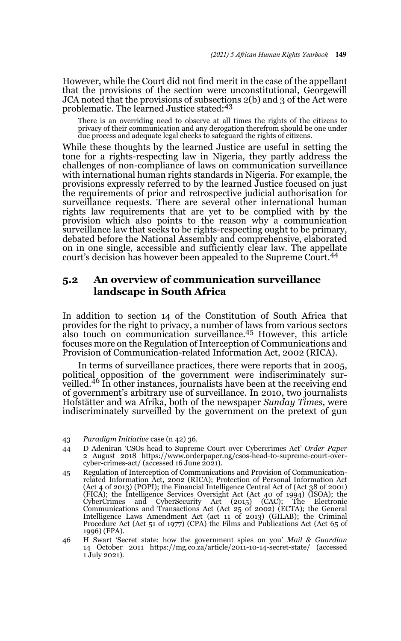However, while the Court did not find merit in the case of the appellant that the provisions of the section were unconstitutional, Georgewill JCA noted that the provisions of subsections 2(b) and 3 of the Act were problematic. The learned Justice stated:<sup>43</sup>

There is an overriding need to observe at all times the rights of the citizens to privacy of their communication and any derogation therefrom should be one under due process and adequate legal checks to safeguard the rights of citizens.

While these thoughts by the learned Justice are useful in setting the tone for a rights-respecting law in Nigeria, they partly address the challenges of non-compliance of laws on communication surveillance with international human rights standards in Nigeria. For example, the provisions expressly referred to by the learned Justice focused on just the requirements of prior and retrospective judicial authorisation for surveillance requests. There are several other international human rights law requirements that are yet to be complied with by the provision which also points to the reason why a communication surveillance law that seeks to be rights-respecting ought to be primary, debated before the National Assembly and comprehensive, elaborated on in one single, accessible and sufficiently clear law. The appellate court's decision has however been appealed to the Supreme Court.<sup>44</sup>

### **5.2 An overview of communication surveillance landscape in South Africa**

In addition to section 14 of the Constitution of South Africa that provides for the right to privacy, a number of laws from various sectors also touch on communication surveillance.<sup>45</sup> However, this article focuses more on the Regulation of Interception of Communications and Provision of Communication-related Information Act, 2002 (RICA).

In terms of surveillance practices, there were reports that in 2005, political opposition of the government were indiscriminately sur-veilled.46 In other instances, journalists have been at the receiving end of government's arbitrary use of surveillance. In 2010, two journalists Hofstätter and wa Afrika, both of the newspaper *Sunday Times,* were indiscriminately surveilled by the government on the pretext of gun

<sup>43</sup> *Paradigm Initiative* case (n 42) 36.

<sup>44</sup> D Adeniran 'CSOs head to Supreme Court over Cybercrimes Act' *Order Paper* 2 August 2018 https://www.orderpaper.ng/csos-head-to-supreme-court-overcyber-crimes-act/ (accessed 16 June 2021).

<sup>45</sup> Regulation of Interception of Communications and Provision of Communicationrelated Information Act, 2002 (RICA); Protection of Personal Information Act (Act 4 of 2013) (POPI); the Financial Intelligence Central Act of (Act 38 of 2001) (FICA); the Intelligence Services Oversight Act (Act 40 of 1994) (ISOA); the CyberCrimes and CyberSecurity Act (2015) (CAC); The Electronic Communications and Transactions Act (Act 25 of 2002) (ECTA); the General Intelligence Laws Amendment Act (act 11 of 2013) (GILAB); the Criminal Procedure Act (Act 51 of 1977) (CPA) the Films and Publications Act (Act 65 of 1996) (FPA).

<sup>46</sup> H Swart 'Secret state: how the government spies on you' *Mail & Guardian* 14 October 2011 https://mg.co.za/article/2011-10-14-secret-state/ (accessed 1 July 2021).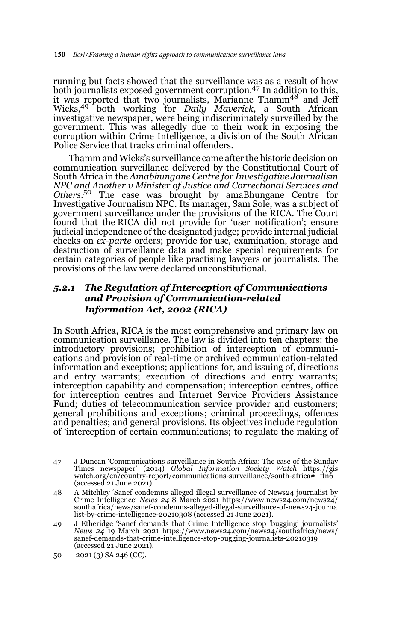running but facts showed that the surveillance was as a result of how both journalists exposed government corruption.<sup>47</sup> In addition to this, it was reported that two journalists, Marianne Thamm<sup>48</sup> and Jeff Wicks,49 both working for *Daily Maverick*, a South African investigative newspaper, were being indiscriminately surveilled by the government. This was allegedly due to their work in exposing the corruption within Crime Intelligence, a division of the South African Police Service that tracks criminal offenders.

Thamm and Wicks's surveillance came after the historic decision on communication surveillance delivered by the Constitutional Court of South Africa in the *Amabhungane Centre for Investigative Journalism NPC and Another v Minister of Justice and Correctional Services and Others*. 50 The case was brought by amaBhungane Centre for Investigative Journalism NPC. Its manager, Sam Sole, was a subject of government surveillance under the provisions of the RICA. The Court found that the RICA did not provide for 'user notification'; ensure judicial independence of the designated judge; provide internal judicial checks on *ex-parte* orders; provide for use, examination, storage and destruction of surveillance data and make special requirements for certain categories of people like practising lawyers or journalists. The provisions of the law were declared unconstitutional.

#### *5.2.1 The Regulation of Interception of Communications and Provision of Communication-related Information Act, 2002 (RICA)*

In South Africa, RICA is the most comprehensive and primary law on communication surveillance. The law is divided into ten chapters: the introductory provisions; prohibition of interception of communications and provision of real-time or archived communication-related information and exceptions; applications for, and issuing of, directions and entry warrants; execution of directions and entry warrants; interception capability and compensation; interception centres, office for interception centres and Internet Service Providers Assistance Fund; duties of telecommunication service provider and customers; general prohibitions and exceptions; criminal proceedings, offences and penalties; and general provisions. Its objectives include regulation of 'interception of certain communications; to regulate the making of

<sup>47</sup> J Duncan 'Communications surveillance in South Africa: The case of the Sunday Times newspaper' (2014) *Global Information Society Watch* https://gis watch.org/en/country-report/communications-surveillance/south-africa#\_ftn6 (accessed 21 June 2021).

<sup>48</sup> A Mitchley 'Sanef condemns alleged illegal surveillance of News24 journalist by Crime Intelligence' *News 24* 8 March 2021 https://www.news24.com/news24/ southafrica/news/sanef-condemns-alleged-illegal-surveillance-of-news24-journa list-by-crime-intelligence-20210308 (accessed 21 June 2021).

<sup>49</sup> J Etheridge 'Sanef demands that Crime Intelligence stop 'bugging' journalists' *News 24* 19 March 2021 https://www.news24.com/news24/southafrica/news/ sanef-demands-that-crime-intelligence-stop-bugging-journalists-20210319 (accessed 21 June 2021).

<sup>50 2021 (3)</sup> SA 246 (CC).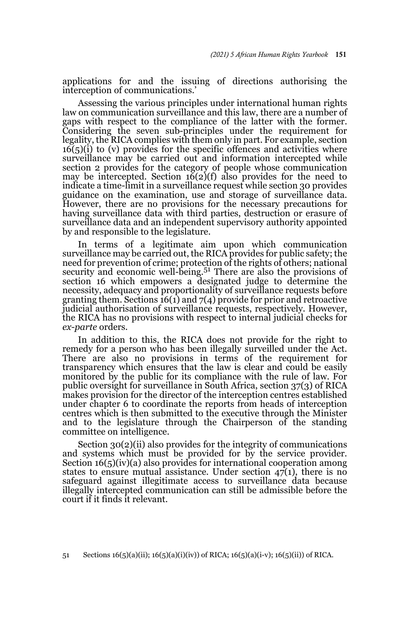applications for and the issuing of directions authorising the interception of communications.'

Assessing the various principles under international human rights law on communication surveillance and this law, there are a number of gaps with respect to the compliance of the latter with the former. Considering the seven sub-principles under the requirement for legality, the RICA complies with them only in part. For example, section  $16(5)(i)$  to (v) provides for the specific offences and activities where surveillance may be carried out and information intercepted while section 2 provides for the category of people whose communication may be intercepted. Section  $16(2)(f)$  also provides for the need to indicate a time-limit in a surveillance request while section 30 provides guidance on the examination, use and storage of surveillance data. However, there are no provisions for the necessary precautions for having surveillance data with third parties, destruction or erasure of surveillance data and an independent supervisory authority appointed by and responsible to the legislature.

In terms of a legitimate aim upon which communication surveillance may be carried out, the RICA provides for public safety; the need for prevention of crime; protection of the rights of others; national security and economic well-being.<sup>51</sup> There are also the provisions of section 16 which empowers a designated judge to determine the necessity, adequacy and proportionality of surveillance requests before granting them. Sections  $16(1)$  and  $7(4)$  provide for prior and retroactive judicial authorisation of surveillance requests, respectively. However, the RICA has no provisions with respect to internal judicial checks for *ex-parte* orders.

In addition to this, the RICA does not provide for the right to remedy for a person who has been illegally surveilled under the Act. There are also no provisions in terms of the requirement for transparency which ensures that the law is clear and could be easily monitored by the public for its compliance with the rule of law. For public oversight for surveillance in South Africa, section 37(3) of RICA makes provision for the director of the interception centres established under chapter 6 to coordinate the reports from heads of interception centres which is then submitted to the executive through the Minister and to the legislature through the Chairperson of the standing committee on intelligence.

Section 30(2)(ii) also provides for the integrity of communications and systems which must be provided for by the service provider. Section  $16(5)(iv)(a)$  also provides for international cooperation among states to ensure mutual assistance. Under section  $47(1)$ , there is no safeguard against illegitimate access to surveillance data because illegally intercepted communication can still be admissible before the court if it finds it relevant.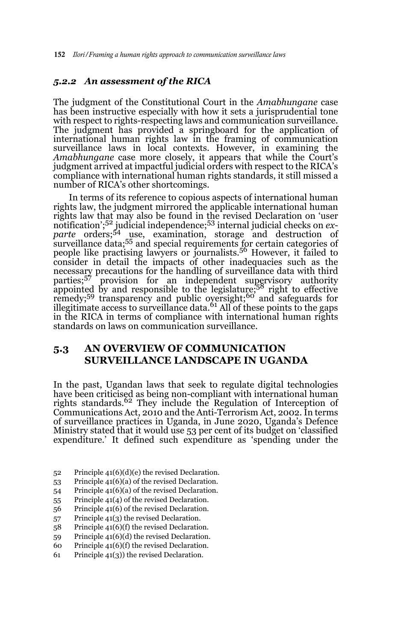#### *5.2.2 An assessment of the RICA*

The judgment of the Constitutional Court in the *Amabhungane* case has been instructive especially with how it sets a jurisprudential tone with respect to rights-respecting laws and communication surveillance. The judgment has provided a springboard for the application of international human rights law in the framing of communication surveillance laws in local contexts. However, in examining the *Amabhungane* case more closely, it appears that while the Court's judgment arrived at impactful judicial orders with respect to the RICA's compliance with international human rights standards, it still missed a number of RICA's other shortcomings.

In terms of its reference to copious aspects of international human rights law, the judgment mirrored the applicable international human rights law that may also be found in the revised Declaration on 'user notification';<sup>52</sup> judicial independence;<sup>53</sup> internal judicial checks on *exparte* orders;54 use, examination, storage and destruction of surveillance data;<sup>55</sup> and special requirements for certain categories of people like practising lawyers or journalists.<sup>56</sup> However, it failed to consider in detail the impacts of other inadequacies such as the necessary precautions for the handling of surveillance data with third parties;<sup>57</sup> provision for an independent supervisory authority appointed by and responsible to the legislature;<sup>58</sup> right to effective remedy;<sup>59</sup> transparency and public oversight;<sup>60</sup> and safeguards for illegitimate access to surveillance data.<sup>61</sup> All of these points to the gaps in the RICA in terms of compliance with international human rights standards on laws on communication surveillance.

#### **5.3 AN OVERVIEW OF COMMUNICATION SURVEILLANCE LANDSCAPE IN UGANDA**

In the past, Ugandan laws that seek to regulate digital technologies have been criticised as being non-compliant with international human rights standards.62 They include the Regulation of Interception of Communications Act, 2010 and the Anti-Terrorism Act, 2002. In terms of surveillance practices in Uganda, in June 2020, Uganda's Defence Ministry stated that it would use 53 per cent of its budget on 'classified expenditure.' It defined such expenditure as 'spending under the

- 52 Principle 41(6)(d)(e) the revised Declaration.
- 53 Principle 41(6)(a) of the revised Declaration.
- 54 Principle 41(6)(a) of the revised Declaration.
- 55 Principle 41(4) of the revised Declaration.
- 56 Principle 41(6) of the revised Declaration.
- 57 Principle 41(3) the revised Declaration.
- 58 Principle 41(6)(f) the revised Declaration.
- 59 Principle 41(6)(d) the revised Declaration.
- 60 Principle 41(6)(f) the revised Declaration.
- 61 Principle 41(3)) the revised Declaration.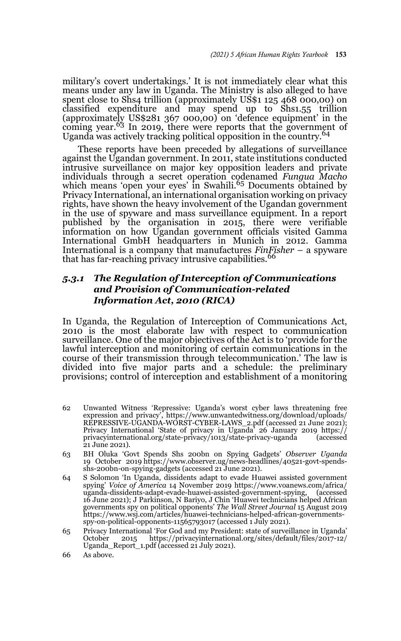military's covert undertakings.' It is not immediately clear what this means under any law in Uganda. The Ministry is also alleged to have spent close to Shs4 trillion (approximately US\$1 125 468 000,00) on classified expenditure and may spend up to Shs1.55 trillion (approximately US\$281 367 000,00) on 'defence equipment' in the coming year.<sup>63</sup> In 2019, there were reports that the government of Uganda was actively tracking political opposition in the country.<sup>64</sup>

These reports have been preceded by allegations of surveillance against the Ugandan government. In 2011, state institutions conducted intrusive surveillance on major key opposition leaders and private individuals through a secret operation codenamed *Fungua Macho* which means 'open your eyes' in Swahili.<sup>65</sup> Documents obtained by Privacy International, an international organisation working on privacy rights, have shown the heavy involvement of the Ugandan government in the use of spyware and mass surveillance equipment. In a report published by the organisation in 2015, there were verifiable information on how Ugandan government officials visited Gamma International GmbH headquarters in Munich in 2012. Gamma International is a company that manufactures *FinFisher* – a spyware that has far-reaching privacy intrusive capabilities.<sup>66</sup>

#### *5.3.1 The Regulation of Interception of Communications and Provision of Communication-related Information Act, 2010 (RICA)*

In Uganda, the Regulation of Interception of Communications Act, 2010 is the most elaborate law with respect to communication surveillance. One of the major objectives of the Act is to 'provide for the lawful interception and monitoring of certain communications in the course of their transmission through telecommunication.' The law is divided into five major parts and a schedule: the preliminary provisions; control of interception and establishment of a monitoring

- 62 Unwanted Witness 'Repressive: Uganda's worst cyber laws threatening free expression and privacy', https://www.unwantedwitness.org/download/uploads/ REPRESSIVE-UGANDA-WORST-CYBER-LAWS\_2.pdf (accessed 21 June 2021); Privacy International 'State of privacy in Uganda' 26 January 2019 https:// privacyinternational.org/state-privacy/1013/state-privacy-uganda (accessed 21 June 2021).
- 63 BH Oluka 'Govt Spends Shs 200bn on Spying Gadgets' *Observer Uganda* 19 October 2019 https://www.observer.ug/news-headlines/40521-govt-spendsshs-200bn-on-spying-gadgets (accessed 21 June 2021).
- 64 S Solomon 'In Uganda, dissidents adapt to evade Huawei assisted government spying' *Voice of America* 14 November 2019 https://www.voanews.com/africa/ uganda-dissidents-adapt-evade-huawei-assisted-government-spying, 16 June 2021); J Parkinson, N Bariyo, J Chin 'Huawei technicians helped African governments spy on political opponents' *The Wall Street Journal* 15 August 2019 https://www.wsj.com/articles/huawei-technicians-helped-african-governmentsspy-on-political-opponents-11565793017 (accessed 1 July 2021).
- 65 Privacy International 'For God and my President: state of surveillance in Uganda' https://privacyinternational.org/sites/default/files/2017-12/ Uganda\_Report\_1.pdf (accessed 21 July 2021).
- 66 As above.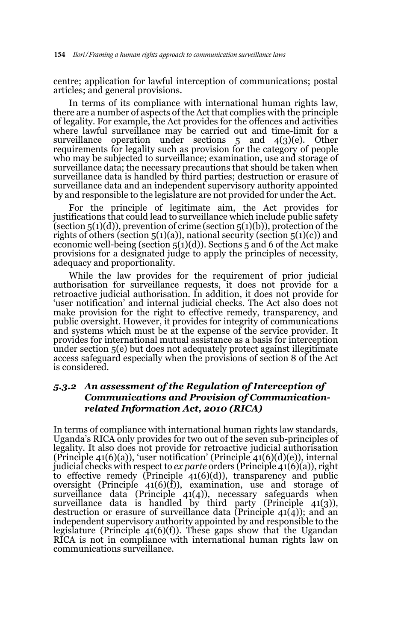centre; application for lawful interception of communications; postal articles; and general provisions.

In terms of its compliance with international human rights law, there are a number of aspects of the Act that complies with the principle of legality. For example, the Act provides for the offences and activities where lawful surveillance may be carried out and time-limit for a surveillance operation under sections 5 and 4(3)(e). Other requirements for legality such as provision for the category of people who may be subjected to surveillance; examination, use and storage of surveillance data; the necessary precautions that should be taken when surveillance data is handled by third parties; destruction or erasure of surveillance data and an independent supervisory authority appointed by and responsible to the legislature are not provided for under the Act.

For the principle of legitimate aim, the Act provides for justifications that could lead to surveillance which include public safety (section  $5(1)(d)$ ), prevention of crime (section  $5(1)(b)$ ), protection of the rights of others (section  $5(1)(a)$ ), national security (section  $5(1)(c)$ ) and economic well-being (section  $5(1)(d)$ ). Sections 5 and 6 of the Act make provisions for a designated judge to apply the principles of necessity, adequacy and proportionality.

While the law provides for the requirement of prior judicial authorisation for surveillance requests, it does not provide for a retroactive judicial authorisation. In addition, it does not provide for 'user notification' and internal judicial checks. The Act also does not make provision for the right to effective remedy, transparency, and public oversight. However, it provides for integrity of communications and systems which must be at the expense of the service provider. It provides for international mutual assistance as a basis for interception under section 5(e) but does not adequately protect against illegitimate access safeguard especially when the provisions of section 8 of the Act is considered.

#### *5.3.2 An assessment of the Regulation of Interception of Communications and Provision of Communicationrelated Information Act, 2010 (RICA)*

In terms of compliance with international human rights law standards, Uganda's RICA only provides for two out of the seven sub-principles of legality. It also does not provide for retroactive judicial authorisation (Principle 41(6)(a)), 'user notification' (Principle 41(6)(d)(e)), internal judicial checks with respect to *ex parte* orders (Principle 41(6)(a)), right to effective remedy (Principle 41(6)(d)), transparency and public oversight (Principle 41(6)(f)), examination, use and storage of surveillance data (Principle 41(4)), necessary safeguards when surveillance data is handled by third party (Principle 41(3)), destruction or erasure of surveillance data (Principle  $41(4)$ ); and an independent supervisory authority appointed by and responsible to the legislature (Principle  $41(6)(f)$ ). These gaps show that the Ugandan RICA is not in compliance with international human rights law on communications surveillance.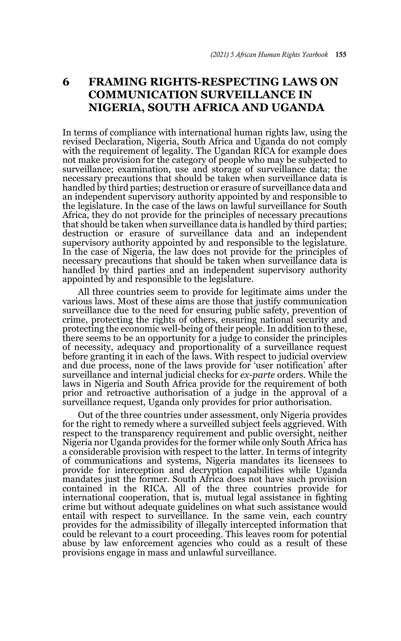## **6 FRAMING RIGHTS-RESPECTING LAWS ON COMMUNICATION SURVEILLANCE IN NIGERIA, SOUTH AFRICA AND UGANDA**

In terms of compliance with international human rights law, using the revised Declaration, Nigeria, South Africa and Uganda do not comply with the requirement of legality. The Ugandan RICA for example does not make provision for the category of people who may be subjected to surveillance; examination, use and storage of surveillance data; the necessary precautions that should be taken when surveillance data is handled by third parties; destruction or erasure of surveillance data and an independent supervisory authority appointed by and responsible to the legislature. In the case of the laws on lawful surveillance for South Africa, they do not provide for the principles of necessary precautions that should be taken when surveillance data is handled by third parties; destruction or erasure of surveillance data and an independent supervisory authority appointed by and responsible to the legislature. In the case of Nigeria, the law does not provide for the principles of necessary precautions that should be taken when surveillance data is handled by third parties and an independent supervisory authority appointed by and responsible to the legislature.

All three countries seem to provide for legitimate aims under the various laws. Most of these aims are those that justify communication surveillance due to the need for ensuring public safety, prevention of crime, protecting the rights of others, ensuring national security and protecting the economic well-being of their people. In addition to these, there seems to be an opportunity for a judge to consider the principles of necessity, adequacy and proportionality of a surveillance request before granting it in each of the laws. With respect to judicial overview and due process, none of the laws provide for 'user notification' after surveillance and internal judicial checks for *ex-parte* orders. While the laws in Nigeria and South Africa provide for the requirement of both prior and retroactive authorisation of a judge in the approval of a surveillance request, Uganda only provides for prior authorisation.

Out of the three countries under assessment, only Nigeria provides for the right to remedy where a surveilled subject feels aggrieved. With respect to the transparency requirement and public oversight, neither Nigeria nor Uganda provides for the former while only South Africa has a considerable provision with respect to the latter. In terms of integrity of communications and systems, Nigeria mandates its licensees to provide for interception and decryption capabilities while Uganda mandates just the former. South Africa does not have such provision contained in the RICA. All of the three countries provide for international cooperation, that is, mutual legal assistance in fighting crime but without adequate guidelines on what such assistance would entail with respect to surveillance. In the same vein, each country provides for the admissibility of illegally intercepted information that could be relevant to a court proceeding. This leaves room for potential abuse by law enforcement agencies who could as a result of these provisions engage in mass and unlawful surveillance.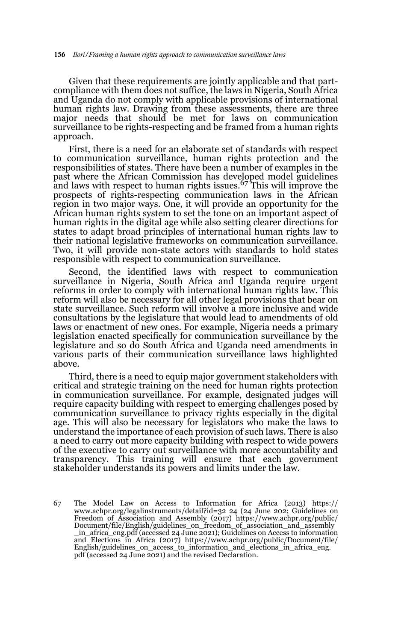Given that these requirements are jointly applicable and that partcompliance with them does not suffice, the laws in Nigeria, South Africa and Uganda do not comply with applicable provisions of international human rights law. Drawing from these assessments, there are three major needs that should be met for laws on communication surveillance to be rights-respecting and be framed from a human rights approach.

First, there is a need for an elaborate set of standards with respect to communication surveillance, human rights protection and the responsibilities of states. There have been a number of examples in the past where the African Commission has developed model guidelines and laws with respect to human rights issues.67 This will improve the prospects of rights-respecting communication laws in the African region in two major ways. One, it will provide an opportunity for the African human rights system to set the tone on an important aspect of human rights in the digital age while also setting clearer directions for states to adapt broad principles of international human rights law to their national legislative frameworks on communication surveillance. Two, it will provide non-state actors with standards to hold states responsible with respect to communication surveillance.

Second, the identified laws with respect to communication surveillance in Nigeria, South Africa and Uganda require urgent reforms in order to comply with international human rights law. This reform will also be necessary for all other legal provisions that bear on state surveillance. Such reform will involve a more inclusive and wide consultations by the legislature that would lead to amendments of old laws or enactment of new ones. For example, Nigeria needs a primary legislation enacted specifically for communication surveillance by the legislature and so do South Africa and Uganda need amendments in various parts of their communication surveillance laws highlighted above.

Third, there is a need to equip major government stakeholders with critical and strategic training on the need for human rights protection in communication surveillance. For example, designated judges will require capacity building with respect to emerging challenges posed by communication surveillance to privacy rights especially in the digital age. This will also be necessary for legislators who make the laws to understand the importance of each provision of such laws. There is also a need to carry out more capacity building with respect to wide powers of the executive to carry out surveillance with more accountability and transparency. This training will ensure that each government stakeholder understands its powers and limits under the law.

67 The Model Law on Access to Information for Africa (2013) https:// www.achpr.org/legalinstruments/detail?id=32 24 (24 June 202; Guidelines on Freedom of Association and Assembly (2017) https://www.achpr.org/public/ Document/file/English/guidelines\_on\_freedom\_of\_association\_and\_assembly \_in\_africa\_eng.pdf (accessed 24 June 2021); Guidelines on Access to information and Elections in Africa (2017) https://www.achpr.org/public/Document/file/ English/guidelines\_on\_access\_to\_information\_and\_elections\_in\_africa\_eng. pdf (accessed 24 June 2021) and the revised Declaration.